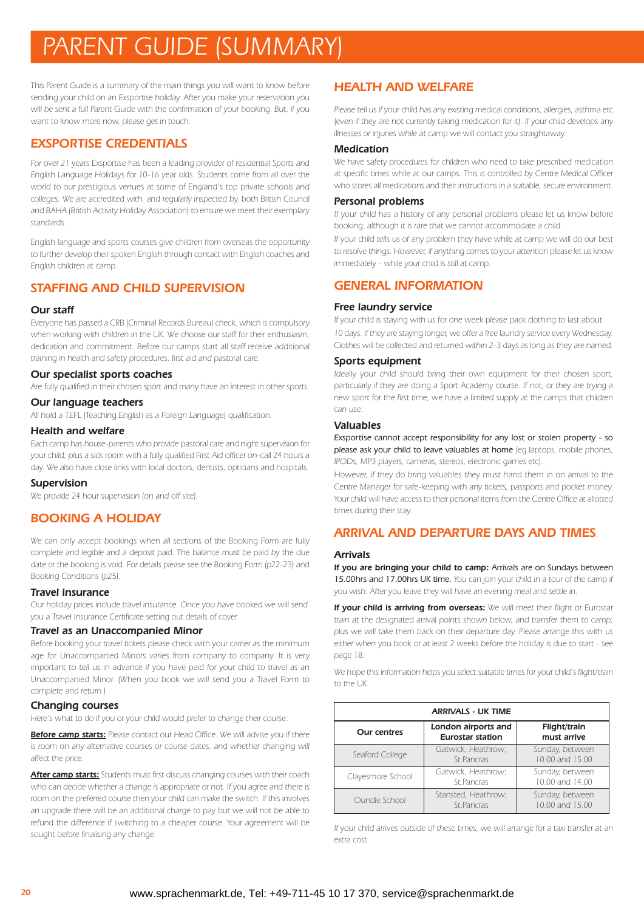# *PARENT GUIDE (SUMMARY)*

*This Parent Guide is a summary of the main things you will want to know before sending your child on an Exsportise holiday. After you make your reservation you will be sent a full Parent Guide with the confirmation of your booking. But, if you want to know more now, please get in touch.*

# *EXSPORTISE CREDENTIALS*

*For over 21 years Exsportise has been a leading provider of residential Sports and English Language Holidays for 10-16 year olds. Students come from all over the world to our prestigious venues at some of England's top private schools and colleges. We are accredited with, and regularly inspected by, both British Council and BAHA (British Activity Holiday Association) to ensure we meet their exemplary standards.*

*English language and sports courses give children from overseas the opportunity to further develop their spoken English through contact with English coaches and English children at camp.*

# *STAFFING AND CHILD SUPERVISION*

## *Our staff*

*Everyone has passed a CRB (Criminal Records Bureau) check, which is compulsory when working with children in the UK. We choose our staff for their enthusiasm, dedication and commitment. Before our camps start all staff receive additional training in health and safety procedures, first aid and pastoral care.*

### *Our specialist sports coaches*

*Are fully qualified in their chosen sport and many have an interest in other sports.*

#### *Our language teachers*

*All hold a TEFL (Teaching English as a Foreign Language) qualification.*

#### *Health and welfare*

*Each camp has house-parents who provide pastoral care and night supervision for your child; plus a sick room with a fully qualified First Aid officer on-call 24 hours a day. We also have close links with local doctors, dentists, opticians and hospitals.*

## *Supervision*

*We provide 24 hour supervision (on and off site).*

# *BOOKING A HOLIDAY*

*We can only accept bookings when all sections of the Booking Form are fully complete and legible and a deposit paid. The balance must be paid by the due date or the booking is void. For details please see the Booking Form (p22-23) and Booking Conditions (p25).*

#### *Travel insurance*

*Our holiday prices include travel insurance. Once you have booked we will send you a Travel Insurance Certificate setting out details of cover.*

#### *Travel as an Unaccompanied Minor*

*Before booking your travel tickets please check with your carrier as the minimum age for Unaccompanied Minors varies from company to company. It is very important to tell us in advance if you have paid for your child to travel as an Unaccompanied Minor. (When you book we will send you a Travel Form to complete and return.)*

### *Changing courses*

*Here's what to do if you or your child would prefer to change their course:*

*Before camp starts: Please contact our Head Office. We will advise you if there* is room on any alternative courses or course dates, and whether changing will *affect the price.*

*After camp starts: Students must first discuss changing courses with their coach who can decide whether a change is appropriate or not. If you agree and there is room on the preferred course then your child can make the switch. If this involves an upgrade there will be an additional charge to pay but we will not be able to refund the difference if switching to a cheaper course. Your agreement will be sought before finalising any change.*

# *HEALTH AND WELFARE*

*Please tell us if your child has any existing medical conditions, allergies, asthma etc (even if they are not currently taking medication for it). If your child develops any illnesses or injuries while at camp we will contact you straightaway.*

#### *Medication*

*We have safety procedures for children who need to take prescribed medication at specific times while at our camps. This is controlled by Centre Medical Officer who stores all medications and their instructions in a suitable, secure environment.*

#### *Personal problems*

*If your child has a history of any personal problems please let us know before booking; although it is rare that we cannot accommodate a child.*

*If your child tells us of any problem they have while at camp we will do our best to resolve things. However, if anything comes to your attention please let us know immediately - while your child is still at camp.*

# *GENERAL INFORMATION*

## *Free laundry service*

*If your child is staying with us for one week please pack clothing to last about 10 days. If they are staying longer, we offer a free laundry service every Wednesday. Clothes will be collected and returned within 2-3 days as long as they are named.*

### *Sports equipment*

*Ideally your child should bring their own equipment for their chosen sport, particularly if they are doing a Sport Academy course. If not, or they are trying a new sport for the first time, we have a limited supply at the camps that children can use.*

#### *Valuables*

*Exsportise cannot accept responsibility for any lost or stolen property - so please ask your child to leave valuables at home (eg laptops, mobile phones, IPODs, MP3 players, cameras, stereos, electronic games etc).*

*However, if they do bring valuables they must hand them in on arrival to the Centre Manager for safe-keeping with any tickets, passports and pocket money. Your child will have access to their personal items from the Centre Office at allotted times during their stay.*

# *ARRIVAL AND DEPARTURE DAYS AND TIMES.*

#### *Arrivals*

*If you are bringing your child to camp: Arrivals are on Sundays between 15.00hrs and 17.00hrs UK time. You can join your child in a tour of the camp if you wish. After you leave they will have an evening meal and settle in.*

*If your child is arriving from overseas: We will meet their flight or Eurostar train at the designated arrival points shown below, and transfer them to camp; plus we will take them back on their departure day. Please arrange this with us either when you book or at least 2 weeks before the holiday is due to start - see page 18.*

*We hope this information helps you select suitable times for your child's flight/train to the UK.*

| <b>ARRIVALS - UK TIME</b> |                                                |                                    |  |
|---------------------------|------------------------------------------------|------------------------------------|--|
| <b>Our centres</b>        | London airports and<br><b>Eurostar station</b> | Flight/train<br>must arrive        |  |
| Seaford College           | Gatwick, Heathrow;<br>St. Pancras              | Sunday, between<br>10.00 and 15.00 |  |
| Clayesmore School         | Gatwick, Heathrow;<br>St.Pancras               | Sunday, between<br>10.00 and 14.00 |  |
| Oundle School             | Stansted, Heathrow;<br>St. Pancras             | Sunday, between<br>10.00 and 15.00 |  |

*If your child arrives outside of these times, we will arrange for a taxi transfer at an extra cost.*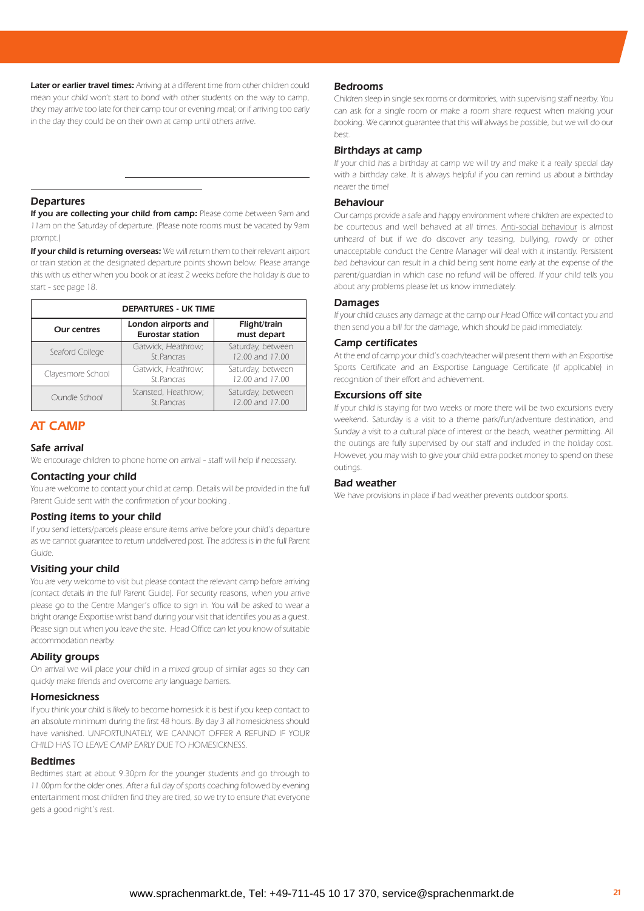*Later or earlier travel times: Arriving at a different time from other children could mean your child won't start to bond with other students on the way to camp, they may arrive too late for their camp tour or evening meal; or if arriving too early in the day they could be on their own at camp until others arrive.*

#### *Departures*

*If you are collecting your child from camp: Please come between 9am and 11am on the Saturday of departure. (Please note rooms must be vacated by 9am prompt.)*

*+44 (0) 7787 383 880. We never leave children alone at airports or stations or*

*at any other time during their stay with Exsportise.*

*If your child is returning overseas: We will return them to their relevant airport or train station at the designated departure points shown below. Please arrange this with us either when you book or at least 2 weeks before the holiday is due to start - see page 18.*

| <b>DEPARTURES - UK TIME</b> |                                                |                                      |  |
|-----------------------------|------------------------------------------------|--------------------------------------|--|
| <b>Our centres</b>          | London airports and<br><b>Eurostar station</b> | Flight/train<br>must depart          |  |
| Seaford College             | Gatwick, Heathrow;<br>St.Pancras               | Saturday, between<br>12.00 and 17.00 |  |
| Clayesmore School           | Gatwick, Heathrow;<br>St.Pancras               | Saturday, between<br>12.00 and 17.00 |  |
| Oundle School               | Stansted, Heathrow;<br>St.Pancras              | Saturday, between<br>12.00 and 17.00 |  |

# *AT CAMP*

# *Safe arrival*

*We encourage children to phone home on arrival - staff will help if necessary.*

#### *Contacting your child*

*You are welcome to contact your child at camp. Details will be provided in the full Parent Guide sent with the confirmation of your booking .*

#### *Posting items to your child*

*If you send letters/parcels please ensure items arrive before your child's departure as we cannot guarantee to return undelivered post. The address is in the full Parent Guide.*

#### *Visiting your child*

*You are very welcome to visit but please contact the relevant camp before arriving (contact details in the full Parent Guide). For security reasons, when you arrive please go to the Centre Manger's office to sign in. You will be asked to wear a bright orange Exsportise wrist band during your visit that identifies you as a guest. Please sign out when you leave the site. Head Office can let you know of suitable accommodation nearby.*

#### *Ability groups*

*On arrival we will place your child in a mixed group of similar ages so they can quickly make friends and overcome any language barriers.*

#### *Homesickness*

*If you think your child is likely to become homesick it is best if you keep contact to an absolute minimum during the first 48 hours. By day 3 all homesickness should have vanished. UNFORTUNATELY, WE CANNOT OFFER A REFUND IF YOUR CHILD HAS TO LEAVE CAMP EARLY DUE TO HOMESICKNESS.*

#### *Bedtimes*

*Bedtimes start at about 9.30pm for the younger students and go through to 11.00pm for the older ones. After a full day of sports coaching followed by evening entertainment most children find they are tired, so we try to ensure that everyone gets a good night's rest.*

#### *Bedrooms*

*Children sleep in single sex rooms or dormitories, with supervising staff nearby. You can ask for a single room or make a room share request when making your booking. We cannot guarantee that this will always be possible, but we will do our best.*

#### *Birthdays at camp*

*If your child has a birthday at camp we will try and make it a really special day with a birthday cake. It is always helpful if you can remind us about a birthday nearer the time!*

#### *Behaviour*

*Our camps provide a safe and happy environment where children are expected to be courteous and well behaved at all times. Anti-social behaviour is almost unheard of but if we do discover any teasing, bullying, rowdy or other unacceptable conduct the Centre Manager will deal with it instantly. Persistent bad behaviour can result in a child being sent home early at the expense of the parent/guardian in which case no refund will be offered. If your child tells you about any problems please let us know immediately.*

#### *Damages*

*If your child causes any damage at the camp our Head Office will contact you and then send you a bill for the damage, which should be paid immediately.*

#### *Camp certificates*

*At the end of camp your child's coach/teacher will present them with an Exsportise Sports Certificate and an Exsportise Language Certificate (if applicable) in recognition of their effort and achievement.*

#### *Excursions off site*

*If your child is staying for two weeks or more there will be two excursions every weekend. Saturday is a visit to a theme park/fun/adventure destination, and Sunday a visit to a cultural place of interest or the beach, weather permitting. All the outings are fully supervised by our staff and included in the holiday cost. However, you may wish to give your child extra pocket money to spend on these outings.*

#### *Bad weather*

*We have provisions in place if bad weather prevents outdoor sports.*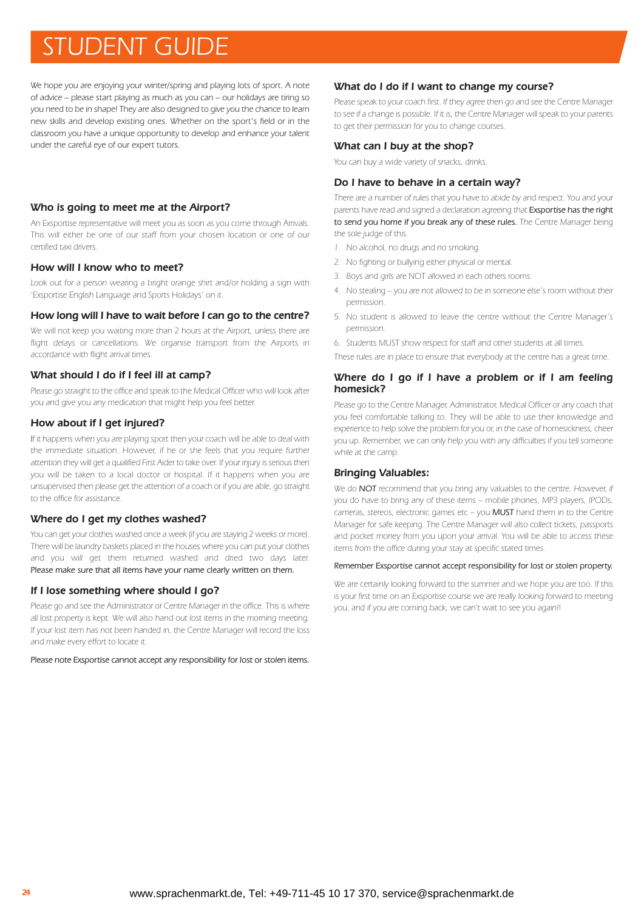# *STUDENT GUIDE www.exsportise.co.uk | +44 (0)1444 444 777*

*We hope you are enjoying your winter/spring and playing lots of sport. A note of advice – please start playing as much as you can – our holidays are tiring so you need to be in shape! They are also designed to give you the chance to learn new skills and develop existing ones. Whether on the sport's field or in the classroom you have a unique opportunity to develop and enhance your talent under the careful eye of our expert tutors.*

## *Who is going to meet me at the Airport?*

*An Exsportise representative will meet you as soon as you come through Arrivals. This will either be one of our staff from your chosen location or one of our certified taxi drivers.*

### *How will I know who to meet?*

*Look out for a person wearing a bright orange shirt and/or holding a sign with 'Exsportise English Language and Sports Holidays' on it.*

#### *How long will I have to wait before I can go to the centre?*

*We will not keep you waiting more than 2 hours at the Airport, unless there are flight delays or cancellations. We organise transport from the Airports in accordance with flight arrival times.*

### *What should I do if I feel ill at camp?*

*Please go straight to the office and speak to the Medical Officer who will look after you and give you any medication that might help you feel better.*

## *How about if I get injured?*

*If it happens when you are playing sport then your coach will be able to deal with the immediate situation. However, if he or she feels that you require further attention they will get a qualified First Aider to take over. If your injury is serious then you will be taken to a local doctor or hospital. If it happens when you are unsupervised then please get the attention of a coach or if you are able, go straight to the office for assistance.*

## *Where do I get my clothes washed?*

*You can get your clothes washed once a week (if you are staying 2 weeks or more). There will be laundry baskets placed in the houses where you can put your clothes and you will get them returned washed and dried two days later. Please make sure that all items have your name clearly written on them.*

## *If I lose something where should I go?*

*Please go and see the Administrator or Centre Manager in the office. This is where all lost property is kept. We will also hand out lost items in the morning meeting. If your lost item has not been handed in, the Centre Manager will record the loss and make every effort to locate it.*

*Please note Exsportise cannot accept any responsibility for lost or stolen items.*

#### *What do I do if I want to change my course?*

*Please speak to your coach first. If they agree then go and see the Centre Manager to see if a change is possible. If it is, the Centre Manager will speak to your parents to get their permission for you to change courses.*

#### *What can I buy at the shop?*

*You can buy a wide variety of snacks, drinks.*

## *Do I have to behave in a certain way?*

*There are a number of rules that you have to abide by and respect. You and your parents have read and signed a declaration agreeing that Exsportise has the right to send you home if you break any of these rules. The Centre Manager being the sole judge of this.*

- *1. No alcohol, no drugs and no smoking.*
- *2. No fighting or bullying either physical or mental.*
- *3. Boys and girls are NOT allowed in each others rooms.*
- *4. No stealing you are not allowed to be in someone else's room without their permission.*
- *5. No student is allowed to leave the centre without the Centre Manager's permission.*
- *6. Students MUST show respect for staff and other students at all times.*
- *These rules are in place to ensure that everybody at the centre has a great time.*

#### *Where do I go if I have a problem or if I am feeling homesick?*

*Please go to the Centre Manager, Administrator, Medical Officer or any coach that you feel comfortable talking to. They will be able to use their knowledge and experience to help solve the problem for you or, in the case of homesickness, cheer you up. Remember, we can only help you with any difficulties if you tell someone while at the camp.*

### *Bringing Valuables:*

*We do NOT recommend that you bring any valuables to the centre. However, if you do have to bring any of these items – mobile phones, MP3 players, IPODs, cameras, stereos, electronic games etc – you MUST hand them in to the Centre Manager for safe keeping. The Centre Manager will also collect tickets, passports and pocket money from you upon your arrival. You will be able to access these items from the office during your stay at specific stated times.*

#### *Remember Exsportise cannot accept responsibility for lost or stolen property.*

*We are certainly looking forward to the summer and we hope you are too. If this is your first time on an Exsportise course we are really looking forward to meeting you, and if you are coming back, we can't wait to see you again!!*